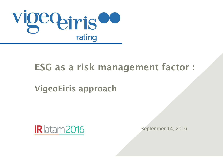

# ESG as a risk management factor :

## VigeoEiris approach



September 14, 2016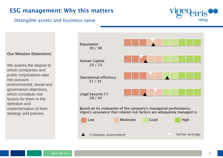#### ESG management: Why this matters

#### Intangible assets and business value



**Our Mission Statement:**

We assess the degree to which companies and public corporations take into account environmental, social and governance objectives, which constitute risk factors for them in the definition and implementation of their strategy and policies.

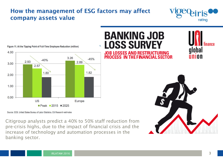#### How the management of ESG factors may affect company assets value





Figure 11. At the Tipping Point of Full-Time Employee Reduction (million)

Source: ECB, United States Bureau of Labor Statistics, Citi Research estimates

Citigroup analysts predict a 40% to 50% staff reduction from pre-crisis highs, due to the impact of financial crisis and the increase of technology and automation processes in the banking sector.

#### **BANKING JOB LOSS SURVEY**  $\mathbf{a}$ **JOB LOSSES AND RESTRUCTURING**

PROCESS IN THE FINANCIAL SECTOR



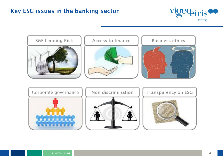#### Key ESG issues in the banking sector



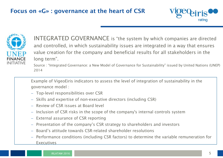#### Focus on «G» : governance at the heart of CSR





INTEGRATED GOVERNANCE is "the system by which companies are directed and controlled, in which sustainability issues are integrated in a way that ensures value creation for the company and beneficial results for all stakeholders in the long term".

Source : "Integrated Governance: a New Model of Governance for Sustainability" issued by United Nations (UNEP) 2014

Example of VigeoEiris indicators to assess the level of integration of sustainability in the governance model :

- − Top-level responsibilities over CSR
- − Skills and expertise of non-executive directors (including CSR)
- − Review of CSR issues at Board level
- − Inclusion of CSR risks in the scope of the company's internal controls system
- − External assurance of CSR reporting
- − Presentation of the company's CSR strategy to shareholders and investors
- − Board's attitude towards CSR-related shareholder resolutions
- − Performance conditions (including CSR factors) to determine the variable remuneration for Executives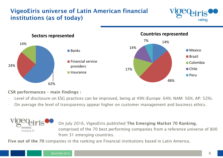### VigeoEiris universe of Latin American financial institutions (as of today)





CSR performances – main findings :

- Level of disclosure on ESG practices can be improved, being at 49% (Europe: 64%; NAM: 56%; AP: 52%).
- On average the level of transparency appear higher on customer management and business ethics.



Five out of the 70 companies in the ranking are Financial institutions based in Latin America.